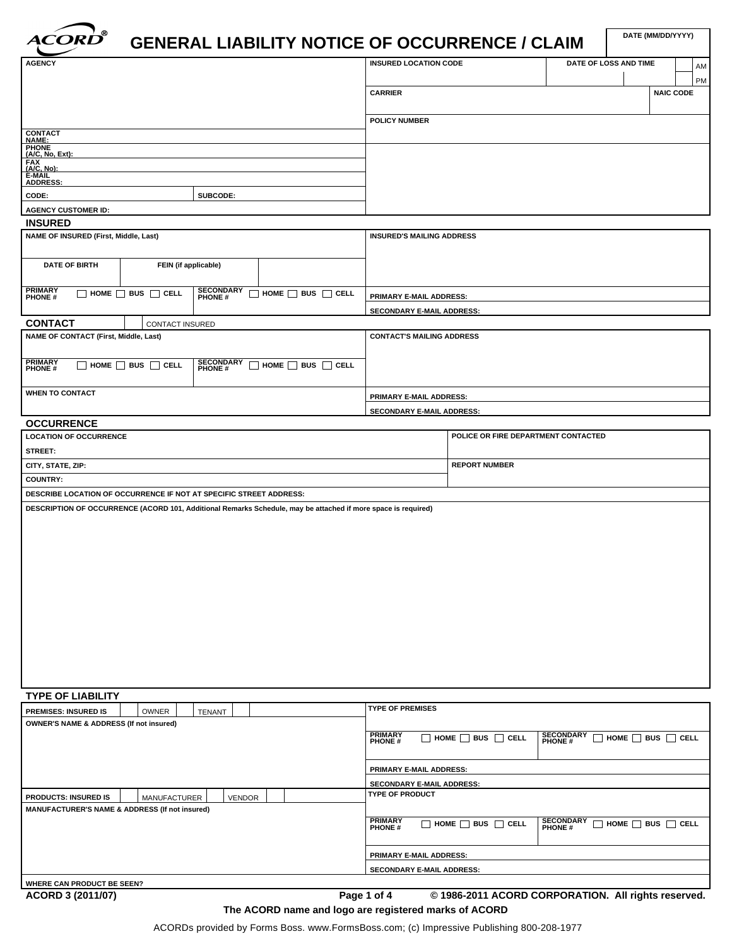

| <b>ACORD</b>                                                       |                                    |                             | <b>GENERAL LIABILITY NOTICE OF OCCURRENCE / CLAIM</b>                                                         |                                  |                                     |                             |                                    | DATE (MM/DD/YYYY) |    |
|--------------------------------------------------------------------|------------------------------------|-----------------------------|---------------------------------------------------------------------------------------------------------------|----------------------------------|-------------------------------------|-----------------------------|------------------------------------|-------------------|----|
| <b>AGENCY</b>                                                      |                                    |                             |                                                                                                               | <b>INSURED LOCATION CODE</b>     |                                     |                             | DATE OF LOSS AND TIME              |                   | AM |
|                                                                    |                                    |                             |                                                                                                               |                                  |                                     |                             |                                    |                   | PM |
|                                                                    |                                    |                             |                                                                                                               | <b>CARRIER</b>                   |                                     |                             |                                    | <b>NAIC CODE</b>  |    |
|                                                                    |                                    |                             |                                                                                                               |                                  |                                     |                             |                                    |                   |    |
|                                                                    |                                    |                             |                                                                                                               | <b>POLICY NUMBER</b>             |                                     |                             |                                    |                   |    |
| CONTACT<br>NAME:                                                   |                                    |                             |                                                                                                               |                                  |                                     |                             |                                    |                   |    |
| <b>PHONE</b><br>(A/C, No, Ext):                                    |                                    |                             |                                                                                                               |                                  |                                     |                             |                                    |                   |    |
| FAX<br>(A/C, No):<br>E-MAIL<br>ADDRESS:                            |                                    |                             |                                                                                                               |                                  |                                     |                             |                                    |                   |    |
|                                                                    |                                    |                             |                                                                                                               |                                  |                                     |                             |                                    |                   |    |
| CODE:                                                              |                                    | SUBCODE:                    |                                                                                                               |                                  |                                     |                             |                                    |                   |    |
| <b>AGENCY CUSTOMER ID:</b><br><b>INSURED</b>                       |                                    |                             |                                                                                                               |                                  |                                     |                             |                                    |                   |    |
| NAME OF INSURED (First, Middle, Last)                              |                                    |                             |                                                                                                               | <b>INSURED'S MAILING ADDRESS</b> |                                     |                             |                                    |                   |    |
|                                                                    |                                    |                             |                                                                                                               |                                  |                                     |                             |                                    |                   |    |
| <b>DATE OF BIRTH</b>                                               |                                    | FEIN (if applicable)        |                                                                                                               |                                  |                                     |                             |                                    |                   |    |
|                                                                    |                                    |                             |                                                                                                               |                                  |                                     |                             |                                    |                   |    |
| <b>PRIMARY</b><br><b>PHONE</b> #                                   | $\Box$ HOME $\Box$ BUS $\Box$ CELL | <b>SECONDARY</b><br>PHONE # | $\Box$ HOME $\Box$ BUS $\Box$ CELL                                                                            | PRIMARY E-MAIL ADDRESS:          |                                     |                             |                                    |                   |    |
|                                                                    |                                    |                             |                                                                                                               | <b>SECONDARY E-MAIL ADDRESS:</b> |                                     |                             |                                    |                   |    |
| <b>CONTACT</b>                                                     | CONTACT INSURED                    |                             |                                                                                                               |                                  |                                     |                             |                                    |                   |    |
| <b>NAME OF CONTACT (First, Middle, Last)</b>                       |                                    |                             |                                                                                                               | <b>CONTACT'S MAILING ADDRESS</b> |                                     |                             |                                    |                   |    |
| <b>PRIMARY</b><br><b>PHONE</b> #                                   | $\Box$ HOME $\Box$ BUS $\Box$ CELL | <b>SECONDARY</b><br>PHONE # | $\Box$ HOME $\Box$ BUS $\Box$ CELL                                                                            |                                  |                                     |                             |                                    |                   |    |
|                                                                    |                                    |                             |                                                                                                               |                                  |                                     |                             |                                    |                   |    |
| <b>WHEN TO CONTACT</b>                                             |                                    |                             |                                                                                                               | PRIMARY E-MAIL ADDRESS:          |                                     |                             |                                    |                   |    |
|                                                                    |                                    |                             |                                                                                                               | SECONDARY E-MAIL ADDRESS:        |                                     |                             |                                    |                   |    |
| <b>OCCURRENCE</b>                                                  |                                    |                             |                                                                                                               |                                  |                                     |                             |                                    |                   |    |
| <b>LOCATION OF OCCURRENCE</b>                                      |                                    |                             |                                                                                                               |                                  | POLICE OR FIRE DEPARTMENT CONTACTED |                             |                                    |                   |    |
| STREET:                                                            |                                    |                             |                                                                                                               |                                  |                                     |                             |                                    |                   |    |
| CITY, STATE, ZIP:                                                  |                                    |                             |                                                                                                               |                                  | <b>REPORT NUMBER</b>                |                             |                                    |                   |    |
| <b>COUNTRY:</b>                                                    |                                    |                             |                                                                                                               |                                  |                                     |                             |                                    |                   |    |
| DESCRIBE LOCATION OF OCCURRENCE IF NOT AT SPECIFIC STREET ADDRESS: |                                    |                             | DESCRIPTION OF OCCURRENCE (ACORD 101, Additional Remarks Schedule, may be attached if more space is required) |                                  |                                     |                             |                                    |                   |    |
|                                                                    |                                    |                             |                                                                                                               |                                  |                                     |                             |                                    |                   |    |
| <b>TYPE OF LIABILITY</b>                                           |                                    |                             |                                                                                                               |                                  |                                     |                             |                                    |                   |    |
| <b>PREMISES: INSURED IS</b>                                        | OWNER                              | TENANT                      |                                                                                                               | <b>TYPE OF PREMISES</b>          |                                     |                             |                                    |                   |    |
| <b>OWNER'S NAME &amp; ADDRESS (If not insured)</b>                 |                                    |                             |                                                                                                               |                                  |                                     |                             |                                    |                   |    |
|                                                                    |                                    |                             |                                                                                                               | <b>PRIMARY</b><br><b>PHONE</b> # | $\Box$ HOME $\Box$ BUS $\Box$ CELL  | <b>SECONDARY</b><br>PHONE # | $\Box$ HOME $\Box$ BUS $\Box$ CELL |                   |    |
|                                                                    |                                    |                             |                                                                                                               | PRIMARY E-MAIL ADDRESS:          |                                     |                             |                                    |                   |    |
|                                                                    |                                    |                             |                                                                                                               | SECONDARY E-MAIL ADDRESS:        |                                     |                             |                                    |                   |    |
| <b>PRODUCTS: INSURED IS</b>                                        | MANUFACTURER                       | <b>VENDOR</b>               |                                                                                                               | <b>TYPE OF PRODUCT</b>           |                                     |                             |                                    |                   |    |
| MANUFACTURER'S NAME & ADDRESS (If not insured)                     |                                    |                             |                                                                                                               |                                  |                                     |                             |                                    |                   |    |
|                                                                    |                                    |                             |                                                                                                               | <b>PRIMARY</b><br>PHONE#         | $\Box$ HOME $\Box$ BUS $\Box$ CELL  | <b>SECONDARY</b><br>PHONE # | $\Box$ HOME $\Box$ BUS $\Box$ CELL |                   |    |
|                                                                    |                                    |                             |                                                                                                               | PRIMARY E-MAIL ADDRESS:          |                                     |                             |                                    |                   |    |
|                                                                    |                                    |                             |                                                                                                               | SECONDARY E-MAIL ADDRESS:        |                                     |                             |                                    |                   |    |
|                                                                    |                                    |                             |                                                                                                               |                                  |                                     |                             |                                    |                   |    |

Page 1 of 4  $\degree$  0 1986-2011 ACORD CORPORATION. All rights reserved. **The ACORD name and logo are registered marks of ACORD**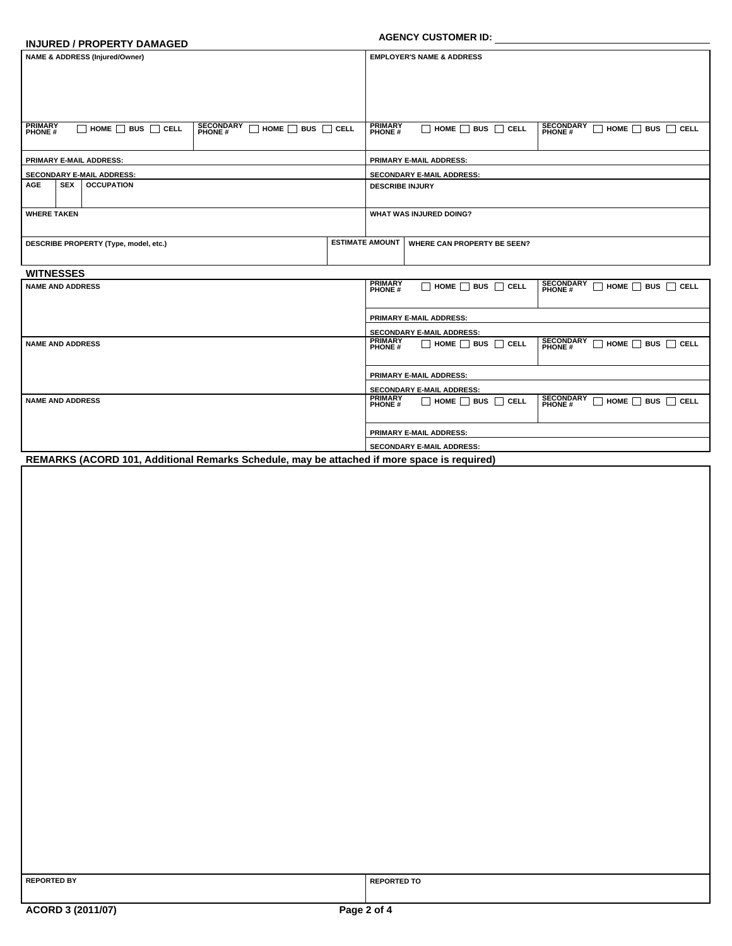#### **INJURED / PROPERTY DAMAGED**

# **AGENCY CUSTOMER ID:**

| <b>NAME &amp; ADDRESS (Injured/Owner)</b> |                                 |                                    |                                                                               | <b>EMPLOYER'S NAME &amp; ADDRESS</b> |                                    |                                    |                                                                         |  |
|-------------------------------------------|---------------------------------|------------------------------------|-------------------------------------------------------------------------------|--------------------------------------|------------------------------------|------------------------------------|-------------------------------------------------------------------------|--|
|                                           |                                 |                                    |                                                                               |                                      |                                    |                                    |                                                                         |  |
|                                           |                                 |                                    |                                                                               |                                      |                                    |                                    |                                                                         |  |
|                                           |                                 |                                    |                                                                               |                                      |                                    |                                    |                                                                         |  |
|                                           |                                 |                                    |                                                                               |                                      |                                    |                                    |                                                                         |  |
| <b>PRIMARY</b><br><b>PHONE#</b>           |                                 | $\Box$ HOME $\Box$ BUS $\Box$ CELL | <b>SECONDARY</b><br>$\sqcap$ home $\sqcap$ bus $\sqcap$ cell<br><b>PHONE#</b> |                                      | <b>PRIMARY</b><br><b>PHONE#</b>    | $\Box$ HOME $\Box$ BUS $\Box$ CELL | <b>SECONDARY</b><br>$\Box$ HOME $\Box$ BUS $\Box$ CELL<br><b>PHONE#</b> |  |
| <b>PRIMARY E-MAIL ADDRESS:</b>            |                                 |                                    |                                                                               | <b>PRIMARY E-MAIL ADDRESS:</b>       |                                    |                                    |                                                                         |  |
| <b>SECONDARY E-MAIL ADDRESS:</b>          |                                 |                                    |                                                                               | <b>SECONDARY E-MAIL ADDRESS:</b>     |                                    |                                    |                                                                         |  |
| <b>AGE</b>                                | <b>SEX</b><br><b>OCCUPATION</b> |                                    |                                                                               | <b>DESCRIBE INJURY</b>               |                                    |                                    |                                                                         |  |
|                                           |                                 |                                    |                                                                               |                                      |                                    |                                    |                                                                         |  |
| <b>WHERE TAKEN</b>                        |                                 |                                    | <b>WHAT WAS INJURED DOING?</b>                                                |                                      |                                    |                                    |                                                                         |  |
|                                           |                                 |                                    |                                                                               |                                      |                                    |                                    |                                                                         |  |
| DESCRIBE PROPERTY (Type, model, etc.)     |                                 |                                    |                                                                               | <b>ESTIMATE AMOUNT</b>               | <b>WHERE CAN PROPERTY BE SEEN?</b> |                                    |                                                                         |  |
|                                           |                                 |                                    |                                                                               |                                      |                                    |                                    |                                                                         |  |

# **WITNESSES**

| <b>PRIMARY</b><br><b>SECONDARY</b><br>$\Box$ home $\Box$ bus $\Box$ cell<br>$HOME \cap BUS \cap CEL$                                             |  |  |  |  |  |
|--------------------------------------------------------------------------------------------------------------------------------------------------|--|--|--|--|--|
| <b>PHONE#</b><br><b>PHONE#</b>                                                                                                                   |  |  |  |  |  |
|                                                                                                                                                  |  |  |  |  |  |
| <b>PRIMARY E-MAIL ADDRESS:</b>                                                                                                                   |  |  |  |  |  |
| <b>SECONDARY E-MAIL ADDRESS:</b>                                                                                                                 |  |  |  |  |  |
| <b>PRIMARY</b><br><b>SECONDARY</b><br>$\Box$ HOME $\Box$ BUS $\Box$ CELL<br>$HOME \cap BUS \cap CEL$<br><b>PHONE#</b><br><b>PHONE#</b>           |  |  |  |  |  |
|                                                                                                                                                  |  |  |  |  |  |
| <b>PRIMARY E-MAIL ADDRESS:</b>                                                                                                                   |  |  |  |  |  |
| <b>SECONDARY E-MAIL ADDRESS:</b>                                                                                                                 |  |  |  |  |  |
| <b>PRIMARY</b><br><b>SECONDARY</b><br>$\Box$ HOME $\Box$ BUS $\Box$ CELL<br>$\Box$ HOME $\Box$ BUS $\Box$ CELL<br><b>PHONE#</b><br><b>PHONE#</b> |  |  |  |  |  |
|                                                                                                                                                  |  |  |  |  |  |
| <b>PRIMARY E-MAIL ADDRESS:</b>                                                                                                                   |  |  |  |  |  |
| SECONDARY E-MAIL ADDRESS:                                                                                                                        |  |  |  |  |  |
| REMARKS (ACORD 101, Additional Remarks Schedule, may be attached if more space is required)                                                      |  |  |  |  |  |
|                                                                                                                                                  |  |  |  |  |  |

| <b>REPORTED BY</b> |  |
|--------------------|--|
|--------------------|--|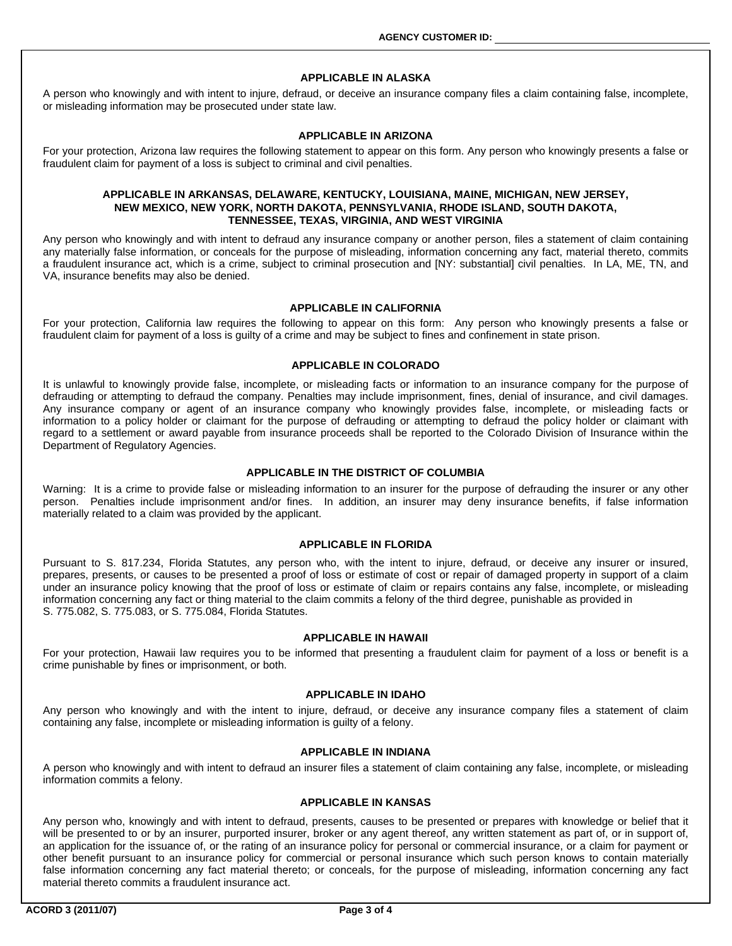#### **APPLICABLE IN ALASKA**

A person who knowingly and with intent to injure, defraud, or deceive an insurance company files a claim containing false, incomplete, or misleading information may be prosecuted under state law.

#### **APPLICABLE IN ARIZONA**

For your protection, Arizona law requires the following statement to appear on this form. Any person who knowingly presents a false or fraudulent claim for payment of a loss is subject to criminal and civil penalties.

#### **APPLICABLE IN ARKANSAS, DELAWARE, KENTUCKY, LOUISIANA, MAINE, MICHIGAN, NEW JERSEY, NEW MEXICO, NEW YORK, NORTH DAKOTA, PENNSYLVANIA, RHODE ISLAND, SOUTH DAKOTA, TENNESSEE, TEXAS, VIRGINIA, AND WEST VIRGINIA**

Any person who knowingly and with intent to defraud any insurance company or another person, files a statement of claim containing any materially false information, or conceals for the purpose of misleading, information concerning any fact, material thereto, commits a fraudulent insurance act, which is a crime, subject to criminal prosecution and [NY: substantial] civil penalties. In LA, ME, TN, and VA, insurance benefits may also be denied.

### **APPLICABLE IN CALIFORNIA**

For your protection, California law requires the following to appear on this form: Any person who knowingly presents a false or fraudulent claim for payment of a loss is guilty of a crime and may be subject to fines and confinement in state prison.

#### **APPLICABLE IN COLORADO**

It is unlawful to knowingly provide false, incomplete, or misleading facts or information to an insurance company for the purpose of defrauding or attempting to defraud the company. Penalties may include imprisonment, fines, denial of insurance, and civil damages. Any insurance company or agent of an insurance company who knowingly provides false, incomplete, or misleading facts or information to a policy holder or claimant for the purpose of defrauding or attempting to defraud the policy holder or claimant with regard to a settlement or award payable from insurance proceeds shall be reported to the Colorado Division of Insurance within the Department of Regulatory Agencies.

#### **APPLICABLE IN THE DISTRICT OF COLUMBIA**

Warning: It is a crime to provide false or misleading information to an insurer for the purpose of defrauding the insurer or any other person. Penalties include imprisonment and/or fines. In addition, an insurer may deny insurance benefits, if false information materially related to a claim was provided by the applicant.

# **APPLICABLE IN FLORIDA**

Pursuant to S. 817.234, Florida Statutes, any person who, with the intent to injure, defraud, or deceive any insurer or insured, prepares, presents, or causes to be presented a proof of loss or estimate of cost or repair of damaged property in support of a claim under an insurance policy knowing that the proof of loss or estimate of claim or repairs contains any false, incomplete, or misleading information concerning any fact or thing material to the claim commits a felony of the third degree, punishable as provided in S. 775.082, S. 775.083, or S. 775.084, Florida Statutes.

#### **APPLICABLE IN HAWAII**

For your protection, Hawaii law requires you to be informed that presenting a fraudulent claim for payment of a loss or benefit is a crime punishable by fines or imprisonment, or both.

#### **APPLICABLE IN IDAHO**

Any person who knowingly and with the intent to injure, defraud, or deceive any insurance company files a statement of claim containing any false, incomplete or misleading information is guilty of a felony.

#### **APPLICABLE IN INDIANA**

A person who knowingly and with intent to defraud an insurer files a statement of claim containing any false, incomplete, or misleading information commits a felony.

### **APPLICABLE IN KANSAS**

Any person who, knowingly and with intent to defraud, presents, causes to be presented or prepares with knowledge or belief that it will be presented to or by an insurer, purported insurer, broker or any agent thereof, any written statement as part of, or in support of, an application for the issuance of, or the rating of an insurance policy for personal or commercial insurance, or a claim for payment or other benefit pursuant to an insurance policy for commercial or personal insurance which such person knows to contain materially false information concerning any fact material thereto; or conceals, for the purpose of misleading, information concerning any fact material thereto commits a fraudulent insurance act.